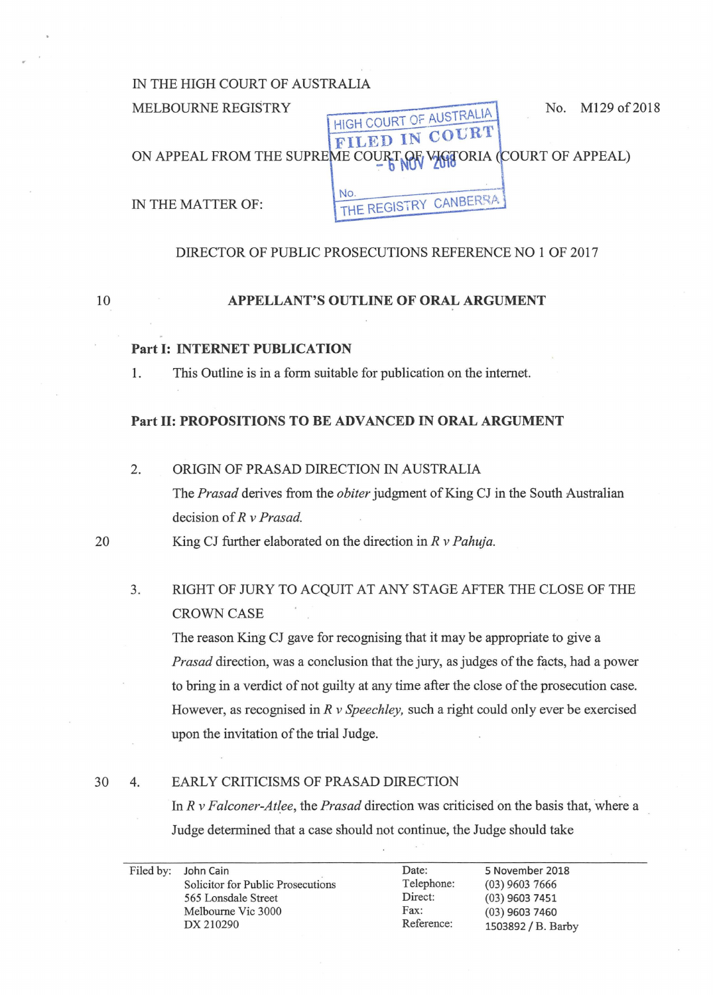### IN THE HIGH COURT OF AUSTRALIA

#### MELBOURNE REGISTRY HIGH COURT OF AUSTRALIA **FILED IN COURT?**<br>ME COURT OF WIGTORIA (COURT OF APPEAL) No. M129 of 2018 ON APPEAL FROM THE SUPREME CO

IN THE MATTER OF: NO. THE REGISTRY CANBERRAL NO. THE REGISTRY CANBERRA

#### DIRECTOR OF PUBLIC PROSECUTIONS REFERENCE NO 1 OF 2017

10

### **APPELLANT'S OUTLINE OF ORAL ARGUMENT**

#### **Part 1: INTERNET PUBLICATION**

1. This Outline is in a form suitable for publication on the internet.

#### **Part II: PROPOSITIONS TO BE ADVANCED IN ORAL ARGUMENT**

2. ORIGIN OF PRASAD DIRECTION IN AUSTRALIA

The *Prasad* derives from the *obiter* judgment of King CJ in the South Australian decision of *R v Prasad.* 

20 King CJ further elaborated on the direction in *R v Pahuja.* 

3. RIGHT OF JURY TO ACQUIT AT ANY STAGE AFTER THE CLOSE OF THE CROWN CASE

The reason King CJ gave for recognising that it may be appropriate to give a *Prasad* direction, was a conclusion that the jury, as judges of the facts, had a power to bring in a verdict of not guilty at any time after the close of the prosecution case. However, as recognised in *R v Speechley,* such a right could only ever be exercised upon the invitation of the trial Judge.

#### 30 4. EARLY CRITICISMS OF PRASAD DIRECTION

In *R v Falconer-Atlee,* the *Prasad* direction was criticised on the basis that, where a Judge determined that a case should not continue, the Judge should take

|  | Filed by: John Cain               | Date:      | 5 November 2018    |
|--|-----------------------------------|------------|--------------------|
|  | Solicitor for Public Prosecutions | Telephone: | $(03)$ 9603 7666   |
|  | 565 Lonsdale Street               | Direct:    | $(03)$ 9603 7451   |
|  | Melbourne Vic 3000                | Fax:       | $(03)$ 9603 7460   |
|  | DX 210290                         | Reference: | 1503892 / B. Barby |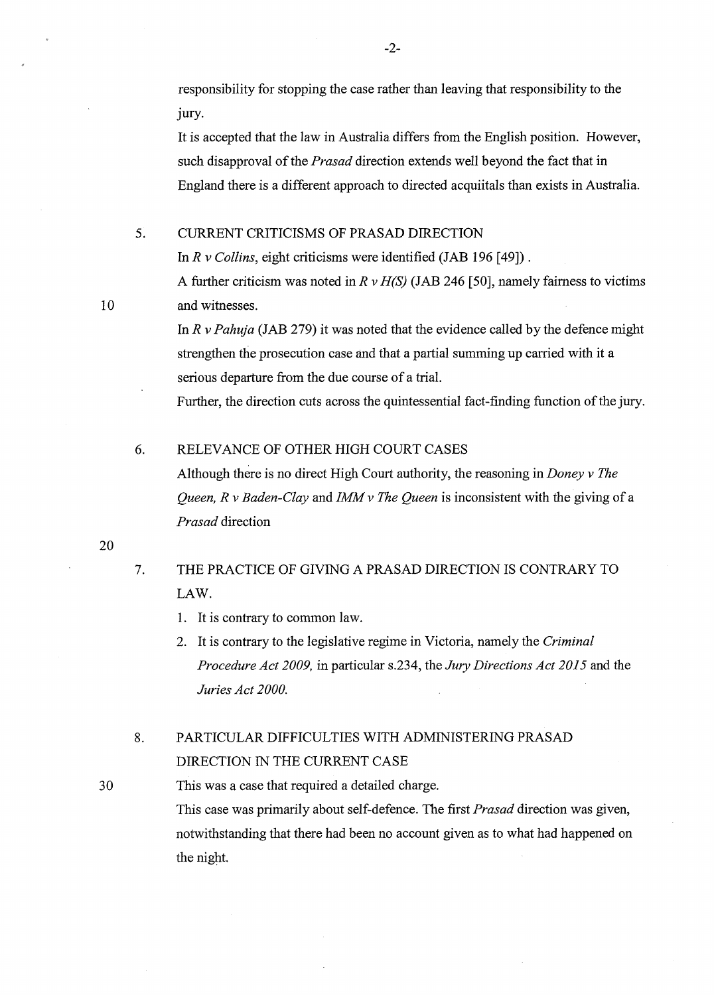responsibility for stopping the case rather than leaving that responsibility to the jury.

It is accepted that the law in Australia differs from the English position. However, such disapproval of the *Prasad* direction extends well beyond the fact that in England there is a different approach to directed acquiitals than exists in Australia.

#### 5. CURRENT CRITICISMS OF PRASAD DIRECTION

In *R v Collins*, eight criticisms were identified (JAB 196 [49]).

A further criticism was noted in  $R \nu H(S)$  (JAB 246 [50], namely fairness to victims 10 and witnesses.

> In *R v Pahuja* (JAB 279) it was noted that the evidence called by the defence might strengthen the prosecution case and that a partial summing up carried with it a serious departure from the due course of a trial.

> Further, the direction cuts across the quintessential fact-finding function of the jury.

#### 6. RELEVANCE OF OTHER HIGH COURT CASES

Although there is no direct High Court authority, the reasoning in *Doney v The Queen, R v Baden-Clay* and *IMM v The Queen* is inconsistent with the giving of a *Prasad* direction

20

## 7. THE PRACTICE OF GIVING A PRASAD DIRECTION IS CONTRARY TO LAW.

- 1. It is contrary to common law.
- 2. It is contrary to the legislative regime in Victoria, namely the *Criminal Procedure Act 2009,* in particular s.234, the *Jury Directions Act 2015* and the *Juries Act 2000.*

# 8. PARTICULAR DIFFICULTIES WITH ADMINISTERING PRASAD DIRECTION IN THE CURRENT CASE

30 This was a case that required a detailed charge. This case was primarily about self-defence. The first *Prasad* direction was given, notwithstanding that there had been no account given as to what had happened on the night.